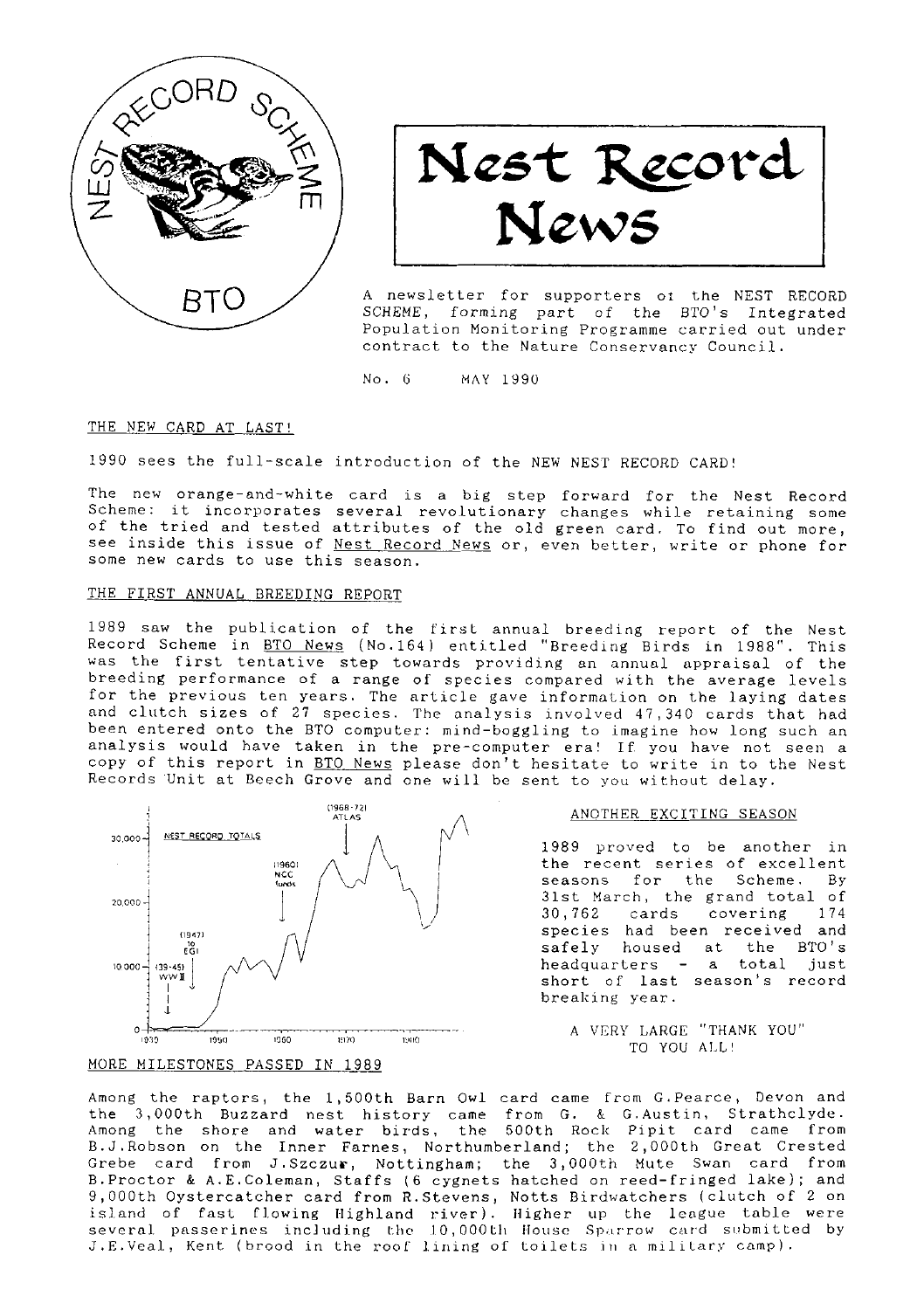

Nest Record<br>News

A newsletter for supporters of the NEST RECORD SCHEME, forming part of the BTO's Integrated Population Monitoring Programme carried out under contract to the Nature Conservancy Council.

 $No. 6$ MAY 1990

#### THE NEW CARD AT LAST!

1990 sees the full-scale introduction of the NEW NEST RECORD CARD!

The new orange-and-white card is a big step forward for the Nest Record Scheme: it incorporates several revolutionary changes while retaining some of the tried and tested attributes of the old green card. To find out more, see inside this issue of Nest Record News or, even better, write or phone for some new cards to use this season.

# THE FIRST ANNUAL BREEDING REPORT

1989 saw the publication of the first annual breeding report of the Nest Record Scheme in BTO News (No.164) entitled "Breeding Birds in 1988". This was the first tentative step towards providing an annual appraisal of the breeding performance of a range of species compared with the average levels for the previous ten years. The article gave information on the laying dates and clutch sizes of 27 species. The analysis involved 47,340 cards that had been entered onto the BTO computer: mind-boggling to imagine how long such an analysis would have taken in the pre-computer era! If you have not seen a copy of this report in BTO News please don't hesitate to write in to the Nest Records Unit at Beech Grove and one will be sent to you without delay.



## MORE MILESTONES PASSED IN 1989

#### ANOTHER EXCITING SEASON

1989 proved to be another in the recent series of excellent seasons for the Scheme. By 31st March, the grand total of 30,762 cards covering 174 species had been received and safely housed at the BTO's headquarters - a total just short of last season's record breaking year.

A VERY LARGE "THANK YOU" TO YOU ALL!

Among the raptors, the 1,500th Barn Owl card came from G.Pearce, Devon and the 3,000th Buzzard nest history came from G. & G.Austin, Strathclyde.<br>Among the shore and water birds, the 500th Rock Pipit card came from B.J.Robson on the Inner Farnes, Northumberland; the 2,000th Great Crested<br>Grebe card from J.Szczur, Nottingham; the 3,000th Mute Swan card from<br>B.Proctor & A.E.Coleman, Staffs (6 cygnets hatched on reed-fringed lake); and Dependence of the action of the second from the second of the second of the second from a second from a second from the second in the second is and of fast flowing Highland river). Higher up the league table were several p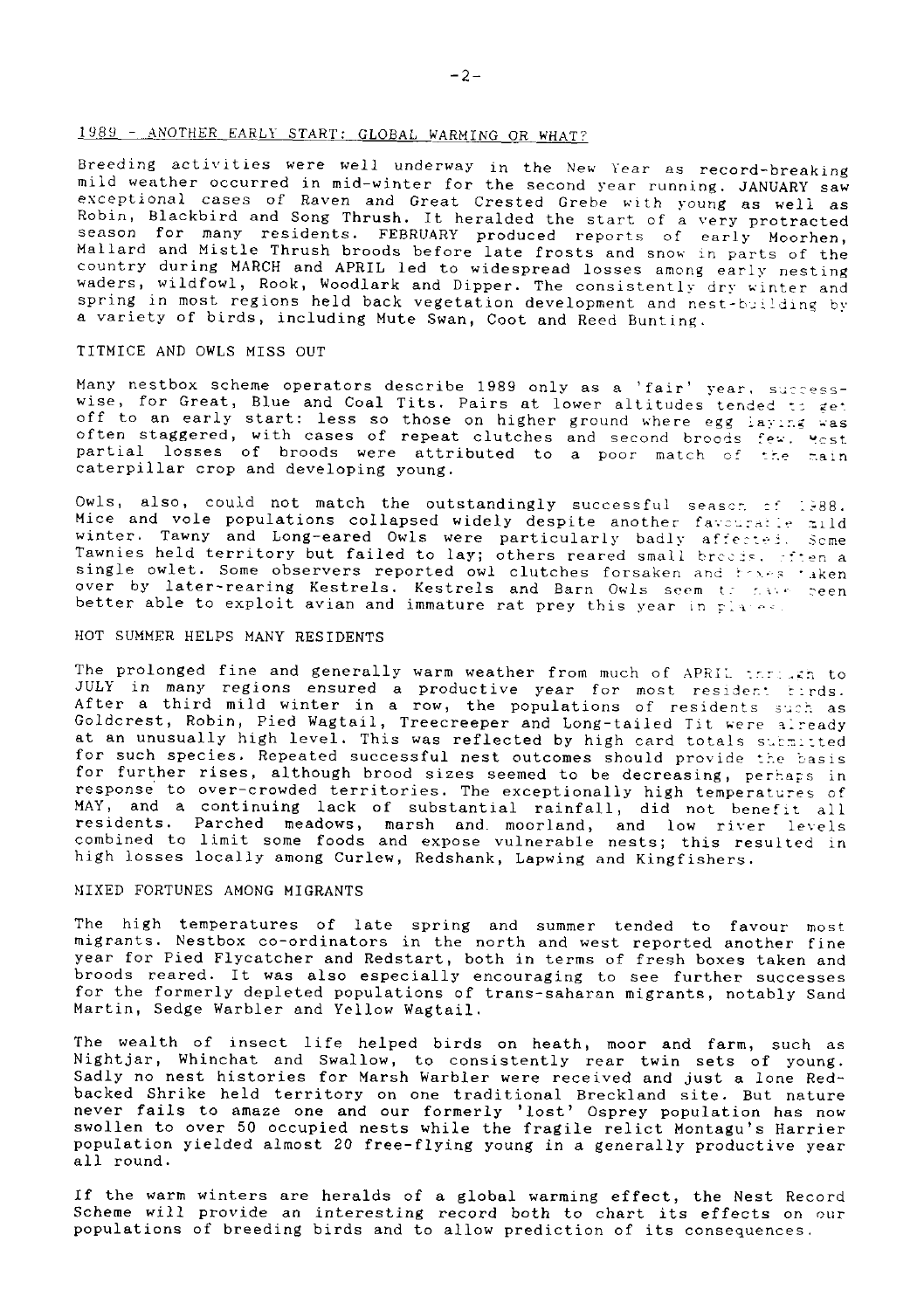# 1989 - ANOTHER EARLY START: GLOBAL WARMING OR WHAT?

Breeding activities were well underway in the New Year as record-breaking mild weather occurred in mid-winter for the second year running. JANUARY saw exceptional cases of Raven and Great Crested Grebe with young as well as Robin, Blackbird and Song Thrush. It heralded the start of a very protracted Robin, biacholic and bong influent it netative the bound of a terry Moorhen, season for many residents. FEBRUARY produced reports of early Moorhen, Mallard and Mistle Thrush broods before late frosts and snow in parts of t country during MARCH and APRIL led to widespread losses among early nesting vaders, wildfowl, Rook, Woodlark and Dipper. The consistently dry winter and pring in most regions held back vegetation development and nest-building by a variety of birds, including Mute Swan, Coot and Reed Bunting.

#### TITMICE AND OWLS MISS OUT

Many nestbox scheme operators describe 1989 only as a 'fair' year, successwise, for Great, Blue and Coal Tits. Pairs at lower altitudes tended to get and the early start: less so those on higher ground where egg laying was of to an early start: less so those on higher ground where egg laying was often staggered, with cases of repeat clutches and second broods few. Yest caterpillar crop and developing young.

Owls, also, could not match the outstandingly successful season of 1988. Mice and vole populations collapsed widely despite another favouratie mild winter. Tawny and Long-eared Owls were particularly badly affected. Some Tawnies held territory but failed to lay; others reared small breeds, steen a single owlet. Some observers reported owl clutches forsaken and towes taken over by later-rearing Kestrels. Kestrels and Barn Owls seem to have been<br>better able to exploit avian and immature rat prey this year in plates.

# HOT SUMMER HELPS MANY RESIDENTS

The prolonged fine and generally warm weather from much of APRIL through to JULY in many regions ensured a productive year for most resident tirds. After a third mild winter in a row, the populations of residents such as Goldcrest, Robin, Pied Wagtail, Treecreeper and Long-tailed Tit were already at an unusually high level. This was reflected by high card totals submitted for such species. Repeated successful nest outcomes should provide the basis for further rises, although brood sizes seemed to be decreasing, perhaps in response to over-crowded territories. The exceptionally high temperatures of MAY, and a continuing lack of substantial rainfall, did not benefit all residents. Parched meadows, marsh and moorland, and low river levels<br>combined to limit some foods and expose vulnerable nests; this resulted in high losses locally among Curlew, Redshank, Lapwing and Kingfishers.

## MIXED FORTUNES AMONG MIGRANTS

The high temperatures of late spring and summer tended to favour most migrants. Nestbox co-ordinators in the north and west reported another fine year for Pied Flycatcher and Redstart, both in terms of fresh boxes taken and broods reared. It was also especially encouraging to see further successes for the formerly depleted populations of trans-saharan migrants, notably Sand Martin, Sedge Warbler and Yellow Wagtail.

The wealth of insect life helped birds on heath, moor and farm, such as Nightjar, Whinchat and Swallow, to consistently rear twin sets of young. Sadly no nest histories for Marsh Warbler were received and just a lone Redbacked Shrike held territory on one traditional Breckland site. But nature<br>never fails to amaze one and our formerly 'lost' Osprey population has now swollen to over 50 occupied nests while the fragile relict Montagu's Harrier<br>population yielded almost 20 free-flying young in a generally productive year all round.

If the warm winters are heralds of a global warming effect, the Nest Record Scheme will provide an interesting record both to chart its effects on our populations of breeding birds and to allow prediction of its consequences.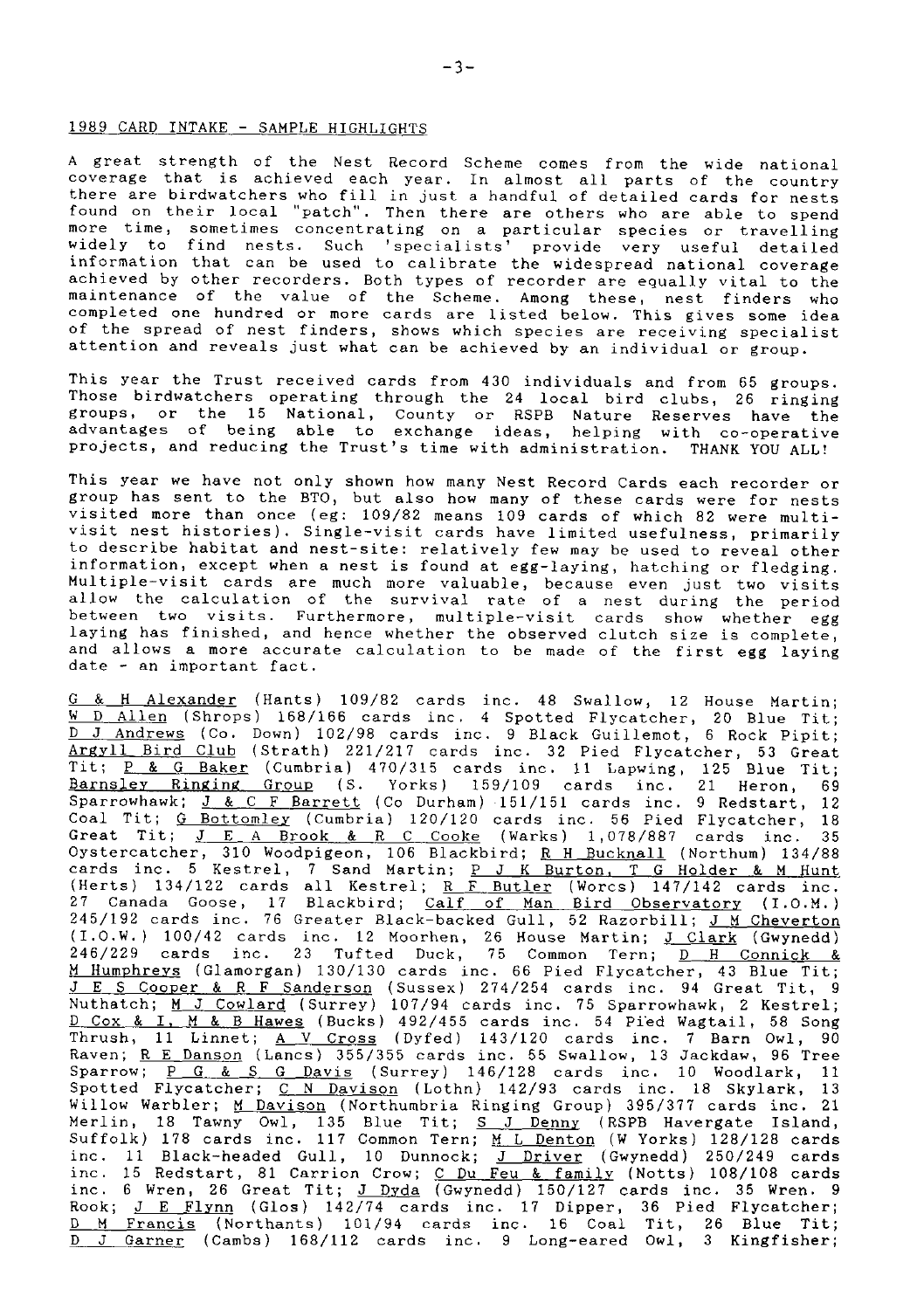#### 1989 CARD INTAKE - SAMPLE HIGHLIGHTS

A great strength of the Nest Record Scheme comes from the wide national coverage that is achieved each year. In almost all parts of the country there are birdwatchers who fill in just a handful of detailed cards for nests found on their local "patch". Then there are others who are able to spend more time, sometimes concentrating on a particular species or travellin<br>widely to find nests. Such 'specialists' provide very useful detaile<br>information that can be used to calibrate the widespread national coverag achieved by other recorders. Both types of recorder are equally vital to the maintenance of the value of the Scheme. Among these, nest finders who<br>completed one hundred or more cards are listed below. This gives some idea<br>of the spread of nest finders, shows which species are receiving specialist attention and reveals just what can be achieved by an individual or group.

This year the Trust received cards from 430 individuals and from 65 groups. Those birdwatchers operating through the 24 local bird clubs, 26 ringing groups, or the 15 National, County or RSPB Nature Reserves have the<br>advantages of being able to exchange ideas, helping with co-operative projects, and reducing the Trust's time with administration. THANK YOU ALL!

This year we have not only shown how many Nest Record Cards each recorder or<br>group has sent to the BTO, but also how many of these cards were for nests visited more than once (eg: 109/82 means 109 cards of which 82 were mult<br>visit nest histories). Single-visit cards have limited usefulness, primari to describe habitat and nest-site: relatively few may be used to reveal other infornation, except when a nest is found at egg-laying, hatching or fledging. Multiple-visit cards are much more valuable, because even just two visits allow the calculation of the survival rate of a nest during the period between two visits. Furthernore, multiple-visit cards show whether egg laying has finished, and hence whether the observed clutch size is complete, and allows a more accurate calculation to be made of the first egg laying date - an inportant facL.

<u>G & H Alexander</u> (Hants) 109/82 cards inc. 48 Swallow, 12 House Martin;<br>
<u>W D Allen</u> (Shrops) 168/166 cards inc. 4 Spotted Flycatcher, 20 Blue Tit;<br>
<u>D Andrews</u> (Co. Down) 102/98 cards inc. 9 Black Guillemot, 6 Rock Pipit Coal Tit; <u>G Bottomley</u> (Cumbria) 120/120 cards inc. 56 Pied Flycatcher, 18<br>Great Tit; <u>J E A Brook & R C Cooke</u> (Warks) 1,078/887 cards inc. 35<br>Oystercatcher, 310 Woodpigeon, 106 Blackbird; <u>R H Bucknall</u> (Northum) 134/88 27 Canada Goose, 17 Blackbird; <u>Calf of Man Bird Observatory</u> (I.O.M.)<br>245/192 cards inc. 76 Greater Black-backed Gull, 52 Razorbill; <u>J M Cheverton</u> (I.O.W.) 100/42 cards inc. 12 Moorhen, 26 House Martin; <u>J Clark</u> (Gwynedd)<br>246/229 cards inc. 23 Tufted Duck, 75 Common Tern; <u>D H Connick &</u><br><u>M Humphreys</u> (Glamorgan) 130/130 cards inc. 66 Pied Flycatcher, 43 Blue Tit; <u>J E S Cooper & R F Sanderson</u> (Sussex) 274/254 cards inc. 94 Great Tit,<br>Nuthatch; <u>M J Cowlard</u> (Surrey) 107/94 cards inc. 75 Sparrowhawk, 2 Kestre D Cox & I, <u>M & B Hawes</u> (Bucks) 492/455 cards inc. 54 Pied Wagtail, 58 Song<br>Thrush, 11 Linnet; <u>A V Cross</u> (Dyfed) 143/120 cards inc. 7 Barn Owl, 90<br>Raven; <u>R E Danson</u> (Lancs) 355/355 cards inc. 55 Swallow, 13 Jackdaw, 9 Sparrow; <u>P G & S G Davis</u> (Surrey) 146/128 cards inc. 10 Woodlark, 11<br>Spotted Flycatcher; <u>C N Davison</u> (Lothn) 142/93 cards inc. 18 Skylark, 13 Willow Warbler; M Davison (Northumbria Ringing Group) 395/377 cards inc. 21 Merlin, 18 Tawny Owl, 135 Blue Tit; <u>S J Denny</u> (RSPB Havergate Island<br>Suffolk) 178 cards inc. 117 Common Tern; <u>M L Denton</u> (W Yorks) 128/128 card: inc. 11 Black-headed Gull, 10 Dunnock; J Driver (Gwynedd) 250/249 cards inc. 15 Redstart, 81 Carrion Crow; C Du Feu & family (Notts) 108/108 cards inc. 6 Wren, 26 Great Tit;  $J$  Dyda (Gwynedd)  $150/127$  cards inc. 35 Wren. 9 Rook; <u>J E Flynn</u> (Glos) 142/74 cards inc. 17 Dipper, 36 Pied Flycatcher<br><u>D M Francis</u> (Northants) 101/94 cards inc. 16 Coal Tit, 26 Blue Tit<br><u>D J Garner</u> (Cambs) 168/112 cards inc. 9 Long-eared Owl, 3 Ki<mark>ngfisher</mark>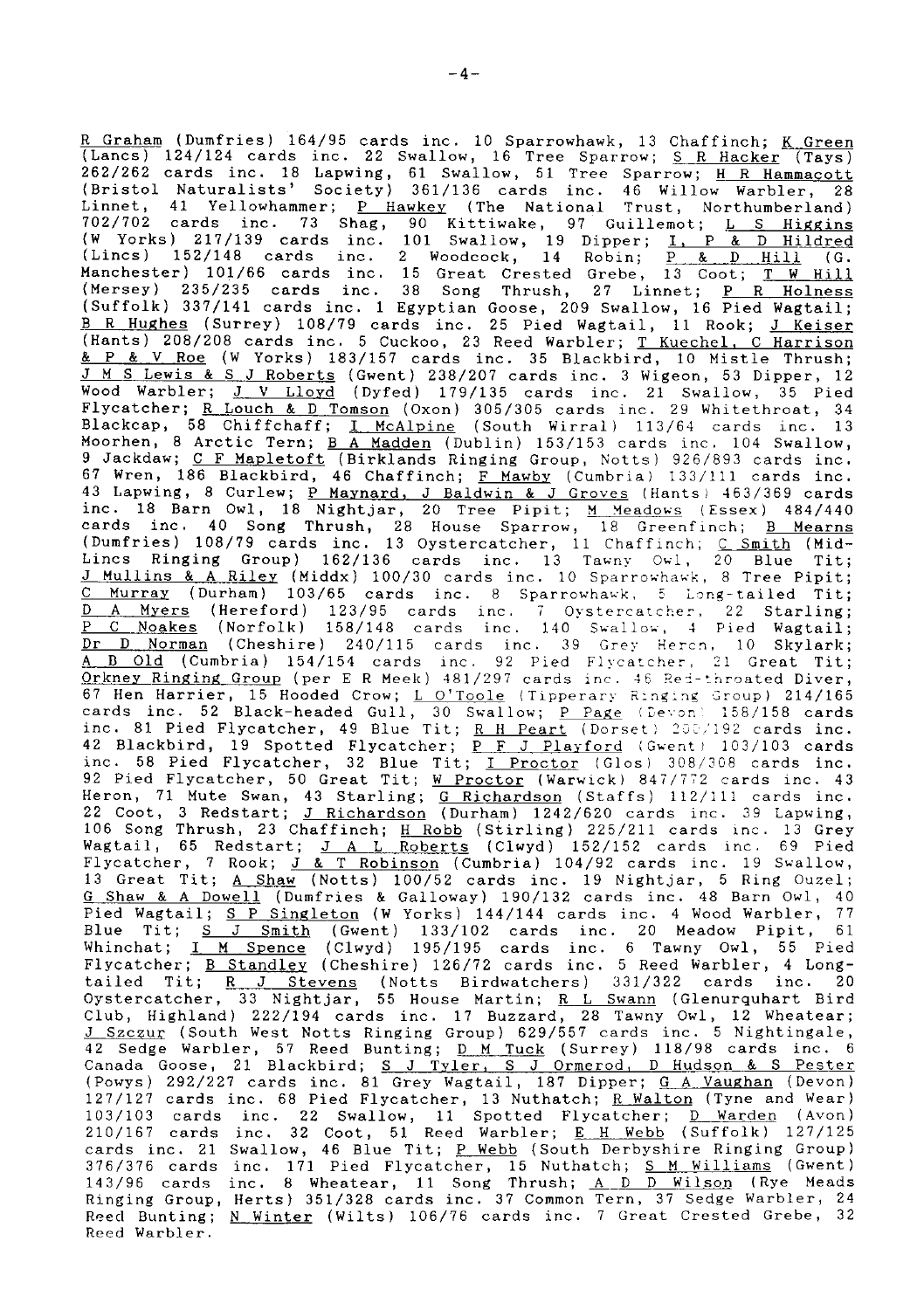R <u>Graham</u> (Dumfries) 164/95 cards inc. 10 Sparrowhawk, 13 Chaffinch; <u>K Greer</u><br>(Lancs) 124/124 cards inc. 22 Swallow, 16 Tree Sparrow; <u>S R Hacker</u> (Tays) 262/262 cards inc. 18 Lapwing, 61 Swallow, 51 Tree Sparrow; <u>H R Hammacott</u><br>(Bristol Naturalists' Society) 361/136 cards inc. 46 Willow Warbler, 28<br>Linnet, 41 Yellowhammer; <u>P Hawkey</u> (The National Trust, Northumberland)<br>7 (Mersey) 235/235 cards inc. 38 Song Thrush, 27 Linnet; <u>P R Holness</u><br>(Suffolk) 337/141 cards inc. 1 Egyptian Goose, 209 Swallow, 16 Pied Wagtail; <u>B R Hughes</u> (Surrey) 108/79 cards inc. 25 Pied Wagtail, 11 Rook; <u>J Keise</u><br>(Hants) 208/208 cards inc. 5 Cuckoo, 23 Reed Warbler; <u>T Kuechel, C Harriso</u>  $\underline{\& P \& V \text{Roe}}$  (W Yorks) 183/157 cards inc. 35 Blackbird, 10 Mistle Thrush; <u>J M S Lewis & S J Roberts</u> (Gwent) 238/207 cards inc. 3 Wigeon, 53 Dipper, 12<br>Wood Warbler; <u>J V Lloyd</u> (Dyfed) 179/135 cards inc. 21 Swallow, 35 Pied Flycatcher; <u>R Louch & D Tomson</u> (Oxon) 305/305 cards inc. 29 Whitethroat, 34<br>Blackcap, 58 Chiffchaff; <u>I McAlpine</u> (South Wirral) 113/64 cards inc. 13<br>Moorhen, 8 Arctic Tern; <u>B A Madden</u> (Dublin) 153/153 cards inc. 104 S 9 Jackdaw; C F Mapletoft (Birklands Ringing Group, Notts) 926/893 cards inc.<br>67 Wren, 186 Blackbird, 46 Chaffinch; F Mawby (Cumbria) 133/111 cards inc. 67 Wren, 186 Blackbird, 46 Chaffinch; <u>F Mawby</u> (Cumbria) 133/111 cards inc.<br>43 Lapwing, 8 Curlew; <u>P Maynard, J Baldwin & J Groves</u> (Hants) 463/369 cards<br>inc. 18 Barn Owl, 18 Nightjar, 20 Tree Pipit; <u>M Meadows</u> (Essex) 4 <u>D A Myers</u> (Hereford) 123/95 cards inc. 7 Oystercatcher, 22 Starling<br><u>P C Noakes</u> (Norfolk) 158/148 cards inc. 140 Swallow, 4 Pied Wagtail <u>Dr D Norman</u> (Cheshire) 240/115 cards inc. 39 Grey Hercn, 10 Skylark<br><u>A B Old</u> (Cumbria) 154/154 cards inc. 92 Pied Flycatcher, 21 Great Tit Orkney Ringing Group (per E R Meek) 481/297 cards inc. 46 Red-throated Diver, 67 Hen Harrier, 15 Hooded Crow; L O'Toole (Tipperary Ringing Group) 214/165 cards inc. 52 Black-headed Gull, 30 Swallow; <u>P Page</u> (Devon) 158/158 cards<br>inc. 81 <mark>Pied Flycatcher, 49 Bl</mark>ue Tit; <u>R H Peart</u> (Dorset) 200/192 cards inc. 42 Blackbird, 19 Spotted Flycatcher; <u>P F J Playford</u> (Gwent) 103/103 card:<br>inc. 58 Pied Flycatcher, 32 Blue Tit; <u>I Proctor</u> (Glos) 308/308 cards inc 92 Pied Flycatcher, 50 Great Tit; W Proctor (Warwick) 847/772 cards inc. 43 Heron, 71 Mute Swan, 43 Starling; <u>G Richardson</u> (Staffs) 112/111 cards inc.<br>22 Coot, 3 Redstart; <u>J Richardson</u> (Durham) 1242/620 cards inc. 39 Lapwing,<br>106 Song Thrush, 23 Chaffinch; <u>H Robb</u> (Stirling) 225/211 cards inc 13 Great Tit; <u>A Shaw</u> (Notts) 100/52 cards inc. 19 Nightjar, 5 Ring Ouzel; G Shaw & A Dowell (Dumfries & Galloway) 190/132 cards inc. 48 Barn Owl, 40 Pied Wagtail; <u>S P Singleton</u> (W Yorks) 144/144 cards inc. 4 Wood Warbler, 77 Blue Tit;  $S$  J Smith (Gwent) 133/102 cards inc. 20 Meadow Pipit, 61 Whinchat; I M Spence (Clwyd) 195/195 cards inc. 6 Tawny Owl, 55 Pied Flycatcher; <u>B Standley</u> (Cheshire) 126/72 cards inc. 5 Reed Warbler, 4 Long-<br>tailed Tit; R J Stevens (Notts Birdwatchers) 331/322 cards inc. 20 tailed Tit;  $R$  J Stevens (Notts Birdwatchers) 331/322 cards inc. Oystercatcher, 33 Nightjar, 55 House Martin; <u>R L Swann</u> (Glenurquhart Bir<br>Club, Highland) 222/194 cards inc. 17 Buzzard, 28 Tawny Owl, 12 Wheatear <u>J Szczur</u> (South West Notts Ringing Group) 629/557 cards inc. 5 Nightingale,<br>42 Sedge Warbler, 57 Reed Bunting; <u>D\_M\_Tuck</u> (Surrey) 118/98 cards inc. f<br>Canada Goose, 21 Blackbird; <u>S\_J\_Tyler, S\_J Ormerod, D\_Hudson & S\_Pes</u> 127/127 cards inc. 68 Pied Flycatcher, 13 Nuthatch; <u>R Walton</u> (Tyne and Wear)<br>103/103 cards inc. 22 Swallow, 11 Spotted Flycatcher; <u>D Warden</u> (Avon)<br>210/167 cards inc. 32 Coot, 51 Reed Warbler; <u>E H Webb</u> (Suffolk) 127/1 cards inc. 21 Swallow, 46 Blue Tit; P Webb (South Derbyshire Ringing Group) 376/376 cards inc. 171 Pied Flycatcher, 15 Nuthatch; <u>S M Williams</u> (Gwent)<br>143/96 cards inc. 8 Wheatear, 11 Song Thrush; <u>A D D Wilson</u> (Rye Meads<br>Ringing Group, Herts) 351/328 cards inc. 37 Common Tern, 37 Sedge Warbler, Reed Bunting; N Winter (Wilts) 106/76 cards inc. 7 Great Crested Grebe, 32 Reed Warbler,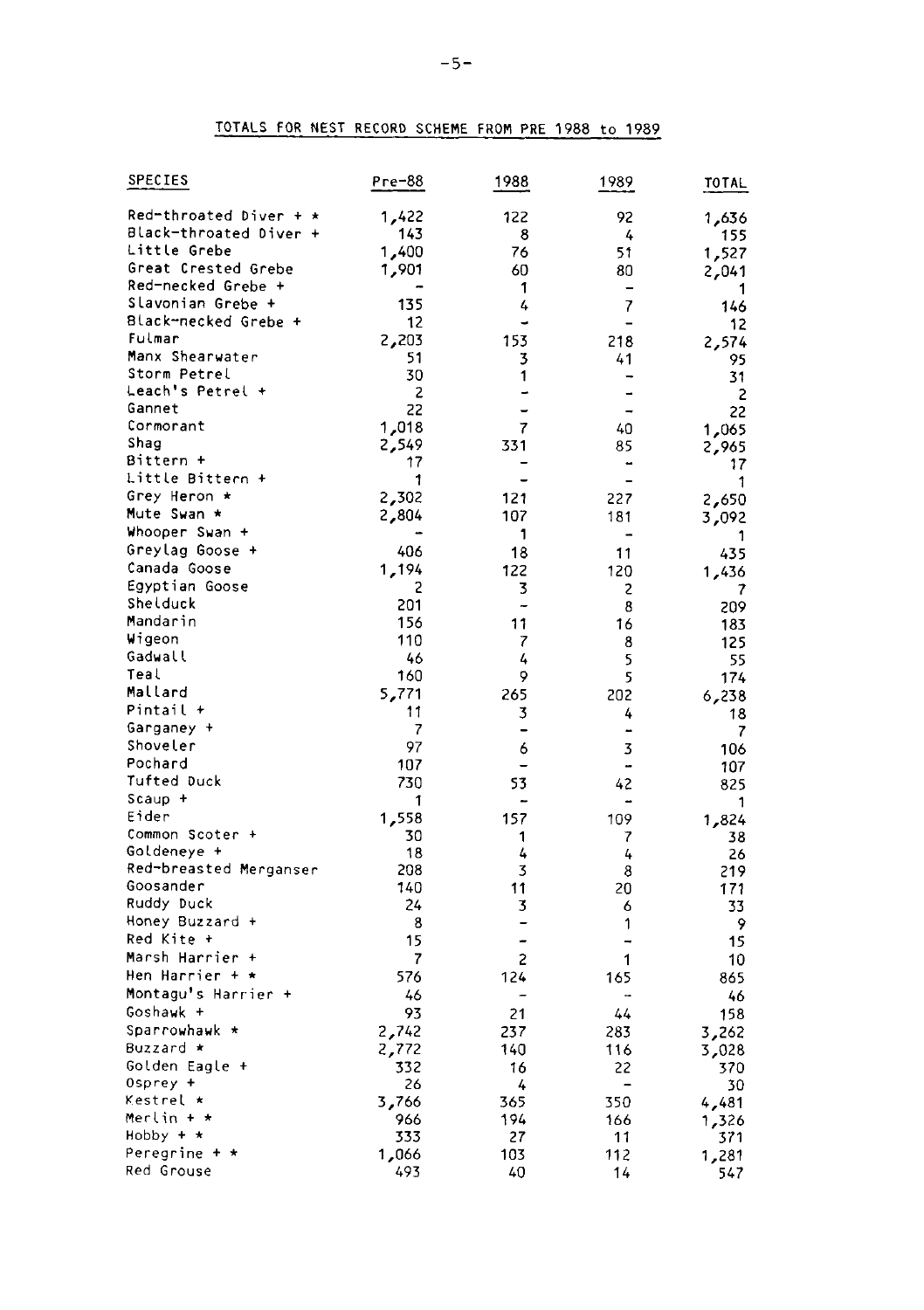# TOTALS FOR NEST RECORD SCHEME FROM PRE 1988 to 1989

| SPECIES                  | Pre-88         | 1988                | 1989                     | TOTAL      |
|--------------------------|----------------|---------------------|--------------------------|------------|
| $Red-throated Diver + x$ | 1,422          | 122                 | 92                       | 1,636      |
| Black-throated Diver +   | 143            | 8                   | 4                        | 155        |
| Little Grebe             | 1,400          | 76                  | 51                       | 1,527      |
| Great Crested Grebe      | 1,901          | 60                  | 80                       | 2,041      |
| Red-necked Grebe +       |                | 1                   |                          | 1          |
| Slavonian Grebe +        | 135            | 4                   | $\overline{7}$           | 146        |
| Black-necked Grebe +     | 12             |                     |                          | 12         |
| Fulmar                   | 2,203          | 153                 | 218                      | 2,574      |
| Manx Shearwater          | 51             | 3                   | 41                       | 95         |
| Storm Petrel             | 30             | 1                   |                          | 31         |
| Leach's Petrel +         | $\overline{c}$ | ÷                   | -                        | 2          |
| Gannet                   | 22             |                     | -                        | 22         |
| Cormorant                | 1,018          | 7                   | 40                       | 1,065      |
| Shaq                     | 2,549          | 331                 | 85                       | 2,965      |
| Bittern +                | 17             |                     |                          | 17         |
| Little Bittern +         | 1              | ۳                   | $\overline{\phantom{0}}$ | 1          |
| Grey Heron *             | 2,302          | 121                 | 227                      | 2,650      |
| Mute Swan *              | 2,804          | 107                 | 181                      | 3,092      |
| Whooper Swan +           |                | 1                   |                          |            |
| Greylag Goose +          | 406            | 18                  | 11                       | 435        |
| Canada Goose             | 1,194          | 122                 | 120                      | 1,436      |
| Egyptian Goose           | 2              | 3                   | 2                        | 7          |
| Shelduck<br>Mandarin     | 201            | -                   | 8                        | 209        |
| Wigeon                   | 156            | 11                  | 16                       | 183        |
| Gadwall                  | 110            | 7                   | 8                        | 125        |
| Teal                     | 46             | 4                   | 5                        | 55         |
| Mallard                  | 160            | 9                   | 5                        | 174        |
| Pintail +                | 5,771<br>11    | 265                 | 202                      | 6,238      |
| Garganey +               | 7              | 3<br>-              | 4<br>-                   | 18         |
| Shoveler                 | 97             |                     | 3                        | 7          |
| Pochard                  | 107            | 6<br>$\overline{a}$ | ÷,                       | 106        |
| Tufted Duck              | 730            | 53                  | 42                       | 107<br>825 |
| Scaup +                  | 1              |                     |                          |            |
| Eider                    | 1,558          | 157                 | 109                      | 1<br>1,824 |
| Common Scoter +          | 30             | 1                   | 7                        | 38         |
| Goldeneye +              | 18             | 4                   | 4                        | 26         |
| Red-breasted Merganser   | 208            | 3                   | 8                        | 219        |
| Goosander                | 140            | 11                  | 20                       | 171        |
| Ruddy Duck               | 24             | 3                   | 6                        | 33         |
| Honey Buzzard +          | 8              | -                   | 1                        | 9          |
| Red Kite +               | 15             |                     |                          | 15         |
| Marsh Harrier +          | 7              | 2                   | 1                        | 10         |
| Hen Harrier + *          | 576            | 124                 | 165                      | 865        |
| Montagu's Harrier +      | 46             | ۰                   | $\overline{a}$           | 46         |
| Goshawk +                | 93             | 21                  | 44                       | 158        |
| Sparrowhawk *            | 2,742          | 237                 | 283                      | 3,262      |
| Buzzard ∗                | 2,772          | 140                 | 116                      | 3,028      |
| Golden Eagle +           | 332            | 16                  | 22                       | 370        |
| Osprey +                 | 26             | 4                   |                          | 30         |
| Kestrel *                | 3,766          | 365                 | 350                      | 4,481      |
| Merlin + *               | 966            | 194                 | 166                      | 1,326      |
| Hobby + *                | 333            | 27                  | 11                       | 371        |
| Peregrine + *            | 1,066          | 103                 | 112                      | 1,281      |
| Red Grouse               | 493            | 40                  | 14                       | 547        |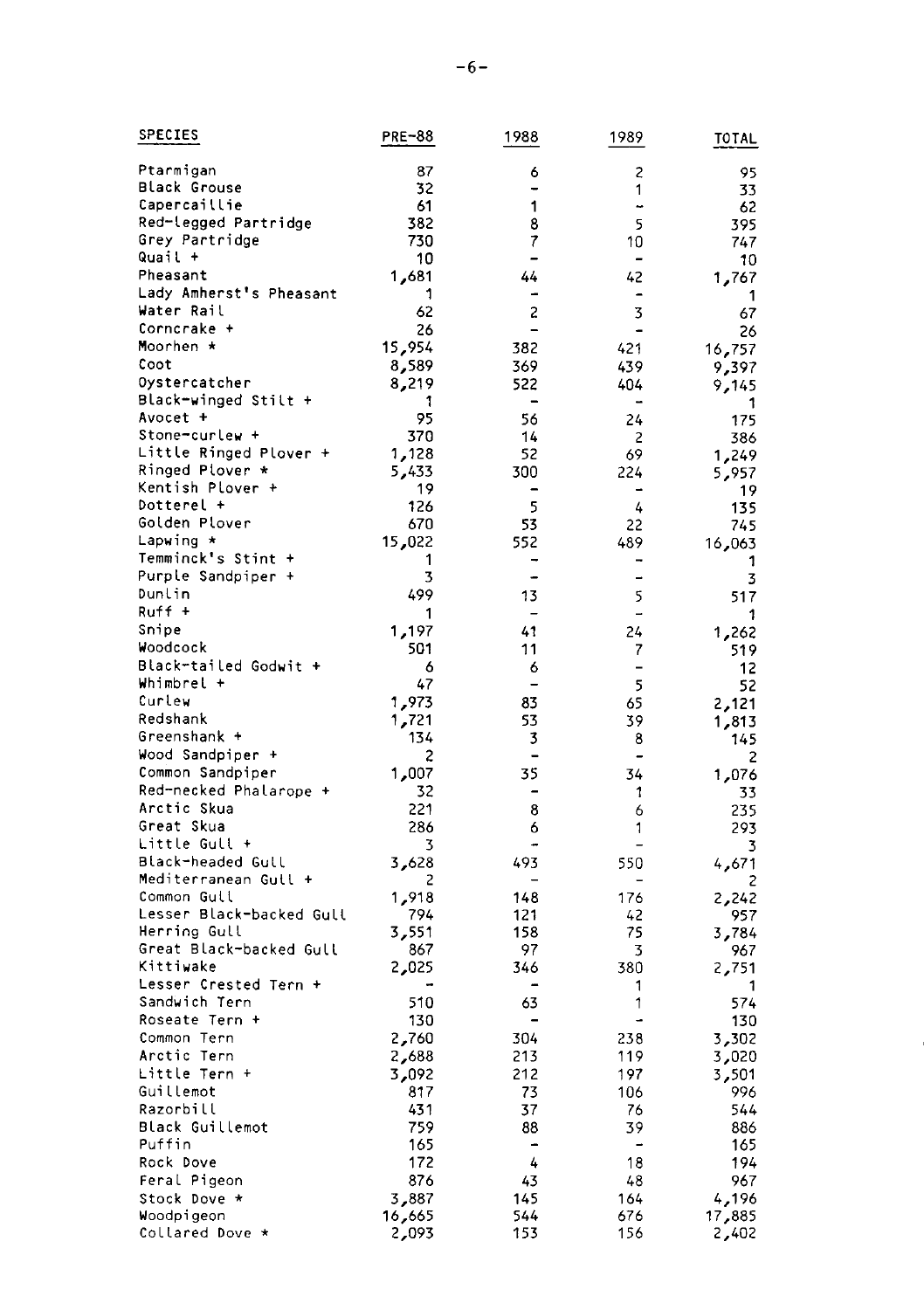| SPECIES                                  | PRE-88       | 1988                     | 1989     | TOTAL        |
|------------------------------------------|--------------|--------------------------|----------|--------------|
| Ptarmigan                                | 87           | 6                        | 2        | 95           |
| Black Grouse                             | 32           |                          | 1        | 33           |
| Capercaillie                             | 61           | 1                        | ٠        | 62           |
| Red-legged Partridge                     | 382          | 8                        | 5        | 395          |
| Grey Partridge                           | 730          | 7                        | 10       | 747          |
| Quail +                                  | 10           | $\rightarrow$            | -        | 10           |
| Pheasant                                 | 81م 1        | 44                       | 42       | 1,767        |
| Lady Amherst's Pheasant                  | 1            |                          |          | 1            |
| Water Rail                               | 62           | $\overline{c}$           | 3        | 67           |
| Corncrake +                              | 26           | $\overline{a}$           | ۰        | 26           |
| Moorhen *                                | 15,954       | 382                      | 421      | 16,757       |
| Coot                                     | 8,589        | 369                      | 439      | 9,397        |
| Oystercatcher                            | 8,219        | 522                      | 404      | 9,145        |
| Black-winged Stilt +                     | 1            | $\overline{\phantom{0}}$ |          | 1            |
| Avocet +                                 | 95           | 56                       | 24       | 175          |
| Stone-curlew +                           | 370          | 14                       | 2        | 386          |
| Little Ringed Plover +                   | 1,128        | 52                       | 69       | 1,249        |
| Ringed Plover *                          | 5,433        | 300                      | 224      | 5,957        |
| Kentish Plover +                         | 19           |                          |          | 19           |
| Dotterel +                               | 126          | 5                        | 4        | 135          |
| Golden Plover                            | 670          | 53                       | 22       | 745          |
| Lapwing *                                | 15,022       | 552                      | 489      | 16,063       |
| Temminck's Stint +                       | 1            |                          |          | 1            |
| Purple Sandpiper +                       | 3            |                          |          | 3            |
| Dunlin                                   | 499          | 13                       | 5        | 517          |
| Ruff +                                   | 1            | $\overline{\phantom{0}}$ | -        | 1            |
| Snipe                                    | 1,197        | 41                       | 24       | 1,262        |
| Woodcock                                 | 501          | 11                       | 7        | 519          |
| Black-tailed Godwit +                    | 6            | 6                        |          | 12           |
| Whimbrel +                               | 47           | ۳                        | 5        | 52           |
| Curlew                                   | 1,973        | 83                       | 65       | 2,121        |
| Redshank                                 | 1,721        | 53                       | 39       | 1,813        |
| Greenshank +                             | 134          | 3                        | 8        | 145          |
| Wood Sandpiper +                         | 2            |                          |          | 2            |
| Common Sandpiper                         | 1,007        | 35                       | 34       | 1,076        |
| Red-necked Phalarope +                   | 32           | ۰                        | 1        | 33           |
| Arctic Skua                              | 221          | 8                        | 6        | 235          |
| Great Skua                               | 286          | 6                        | 1        | 293          |
| Little Gull +                            | 3            |                          |          | 3            |
| Black-headed Gull                        | 3,628        | 493                      | 550      | 4,671        |
| Mediterranean Gull +                     | 2            |                          |          |              |
| Common Guil                              | 1,918        | 148                      | 176      | 2,242        |
| Lesser Black-backed Gull<br>Herring Gull | 794          | 121                      | 42<br>75 | 957          |
| Great Black-backed Gull                  | 3,551<br>867 | 158<br>97                | 3        | 3,784        |
| Kittiwake                                | 2,025        | 346                      | 380      | 967<br>2,751 |
| Lesser Crested Tern +                    |              | $\overline{\phantom{0}}$ | 1        | 1            |
| Sandwich Tern                            | 510          | 63                       | 1        | 574          |
| Roseate Tern +                           | 130          |                          |          | 130          |
| Common Tern                              | 2,760        | 304                      | 238      | 3,302        |
| Arctic Tern                              | 2,688        | 213                      | 119      | 3,020        |
| Little Tern +                            | 3,092        | 212                      | 197      | 501, 3       |
| Guillemot                                | 817          | 73                       | 106      | 996          |
| Razorbill                                | 431          | 37                       | 76       | 544          |
| Black Guillemot                          | 759          | 88                       | 39       | 886          |
| Puffin                                   | 165          |                          |          | 165          |
| Rock Dove                                | 172          | 4                        | 18       | 194          |
| Feral Pigeon                             | 876          | 43                       | 48       | 967          |
| Stock Dove *                             | 3,887        | 145                      | 164      | 4,196        |
| Woodpigeon                               | 16,665       | 544                      | 676      | 17,885       |
| Collared Dove *                          | 2,093        | 153                      | 156      | 2,402        |
|                                          |              |                          |          |              |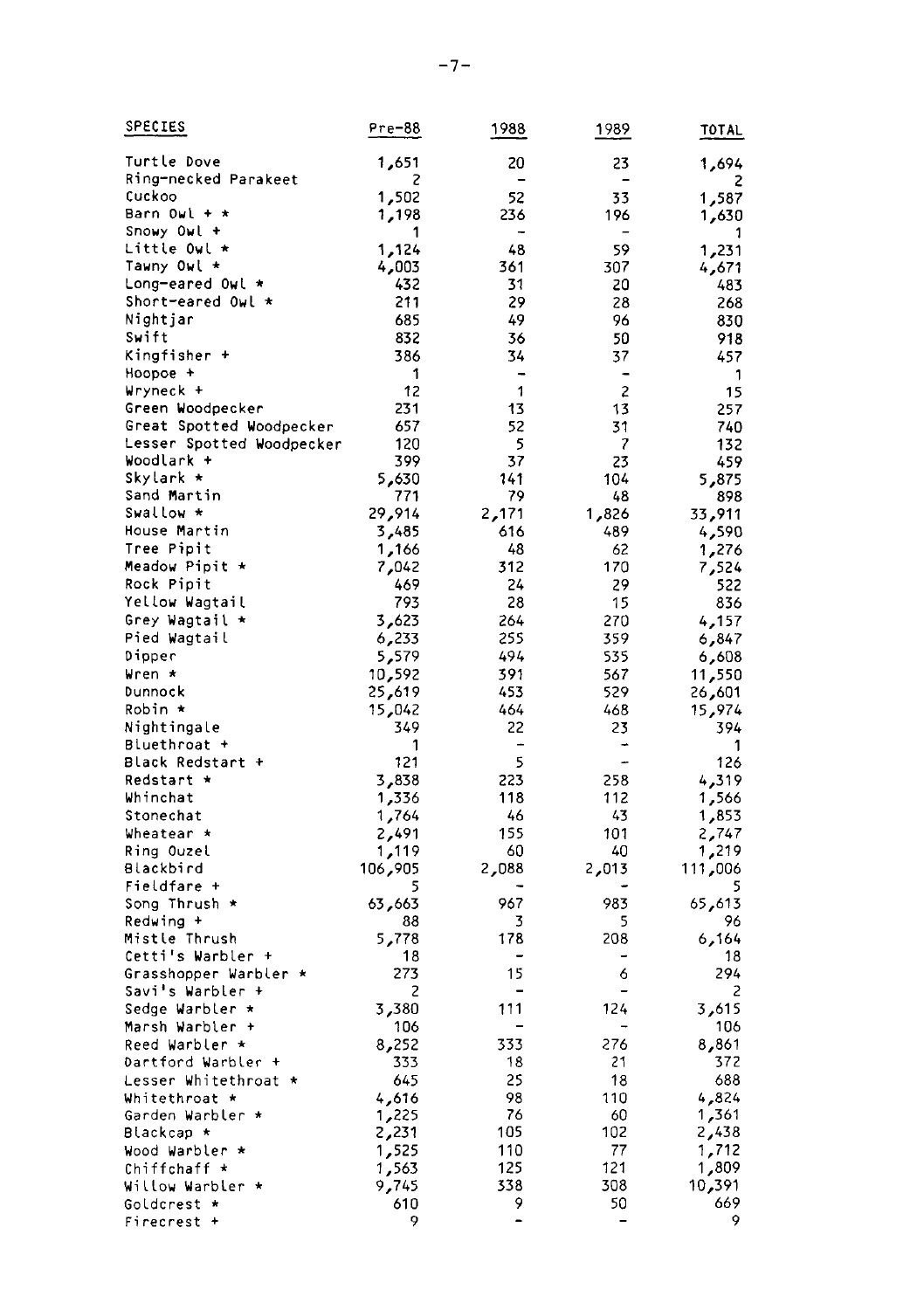| <b>SPECIES</b>            | Pre-88   | 1988                          | 1989                     | TOTAL     |
|---------------------------|----------|-------------------------------|--------------------------|-----------|
| Turtle Dove               | 1,651    | 20                            | 23                       | 1,694     |
| Ring-necked Parakeet      | г        | $\overline{\phantom{0}}$      |                          | 2         |
| Cuckoo                    | 1,502    | 52                            | 33                       | 1,587     |
| Barn Owl + ∗              | 1,198    | 236                           | 196                      |           |
| Snowy Owl +               | 1        |                               |                          | 30؍1<br>1 |
| Little Owl *              | 1,124    | 48                            | 59                       | 1,231     |
| Tawny Owl *               | 4,003    | 361                           | 307                      | 4,671     |
| Long-eared Owl *          | 432      | 31                            | 20                       | 483       |
| Short-eared Owl *         | 211      | 29                            | 28                       | 268       |
| Nightjar                  | 685      | 49                            | 96                       | 830       |
| Swift                     | 832      | 36                            | 50                       | 918       |
| Kingfisher +              | 386      | 34                            | 37                       | 457       |
| Hoopoe +                  | 1        | $\overline{a}$                | $\overline{\phantom{a}}$ | 1         |
| Wryneck +                 | 12       | 1                             | $\overline{c}$           | 15        |
| Green Woodpecker          | 231      | 13                            | 13                       | 257       |
| Great Spotted Woodpecker  | 657      | 52                            | 31                       | 740       |
| Lesser Spotted Woodpecker | 120      | 5                             | $\overline{\phantom{a}}$ | 132       |
| Woodlark +                | 399      | 37                            | 23                       | 459       |
| Skylark ∗                 | 5,630    | 141                           | 104                      | 5,875     |
| Sand Martin               | 771      | 79                            | 48                       | 898       |
| Swallow *                 | 29,914   | 2,171                         | 826, 1                   | 33,911    |
| House Martin              | 3,485    | 616                           | 489                      | 4,590     |
| Tree Pipit                | 1,166    | 48                            | 62                       | 1,276     |
| Meadow Pipit *            | 7,042    | 312                           | 170                      | 7,524     |
| Rock Pipit                | 469      | 24                            | 29                       | 522       |
| Yellow Wagtail            | 793      | 28                            | 15                       | 836       |
| Grey Wagtail *            | 3,623    | 264                           | 270                      | 4,157     |
| Pied Wagtail              | 6,233    | 255                           | 359                      | 6,847     |
| Dipper                    | 5,579    | 494                           | 535                      | 6,608     |
| Wren *                    | 10,592   | 391                           | 567                      | 550, 11   |
| Dunnock                   | 25,619   | 453                           | 529                      | 26,601    |
| Robin *                   | 15,042   | 464                           | 468                      | 15,974    |
| Nightingale               | 349      | 22                            | 23                       | 394       |
| Bluethroat +              | 1        | -                             |                          | 1         |
| Black Redstart +          | 121      | 5                             | ÷                        | 126       |
| Redstart *                | 3,838    | 223                           | 258                      | 4,319     |
| Whinchat                  | 1,336    | 118                           | 112                      | 1,566     |
| Stonechat                 | 1,764    | 46                            | 43                       | 1,853     |
| Wheatear *                | 2,491    | 155                           | 101                      | 2,747     |
| Ring Ouzel                | 1,119    | 60                            | 40                       | 219, 1    |
| Blackbird                 | 905, 106 | 2,088                         | 2,013                    | 006ء111   |
| Fieldfare +               | 5        |                               |                          | 5         |
| Song Thrush *             | 63,663   | 967                           | 983                      | 65,613    |
| Redwing +                 | 88       | 3                             | 5                        | 96        |
| Mistle Thrush             | 5,778    | 178                           | 208                      | 164ره     |
| Cetti's Warbler +         | 18       |                               |                          | 18        |
| Grasshopper Warbler *     | 273      | 15                            | 6                        | 294       |
| Savi's Warbler +          | 2        |                               |                          | 2         |
| Sedge Warbler *           | 3,380    | 111                           | 124                      | 3,615     |
| Marsh Warbler +           | 106      |                               |                          | 106       |
| Reed Warbler *            | 8,252    | 333                           | 276                      | 861ء 8    |
| Dartford Warbler +        | 333      | 18                            | 21                       | 372       |
| Lesser Whitethroat *      | 645      | 25                            | 18                       | 688       |
| Whitethroat *             | 4,616    | 98                            | 110                      | 4,824     |
| Garden Warbler *          | 1,225    | 76                            | 60                       | 361, 1    |
| Blackcap ∗                | 2,231    | 105                           | 102                      | 2,438     |
| Wood Warbler *            | 1,525    | 110                           | 77                       | 1,712     |
| Chiffchaff *              | 1,563    | 125                           | 121                      | 1,809     |
| Willow Warbler *          | 9,745    | 338                           | 308                      | 10,391    |
| Goldcrest *               | 610<br>9 | 9<br>$\overline{\phantom{a}}$ | 50                       | 669<br>9  |
| Firecrest +               |          |                               |                          |           |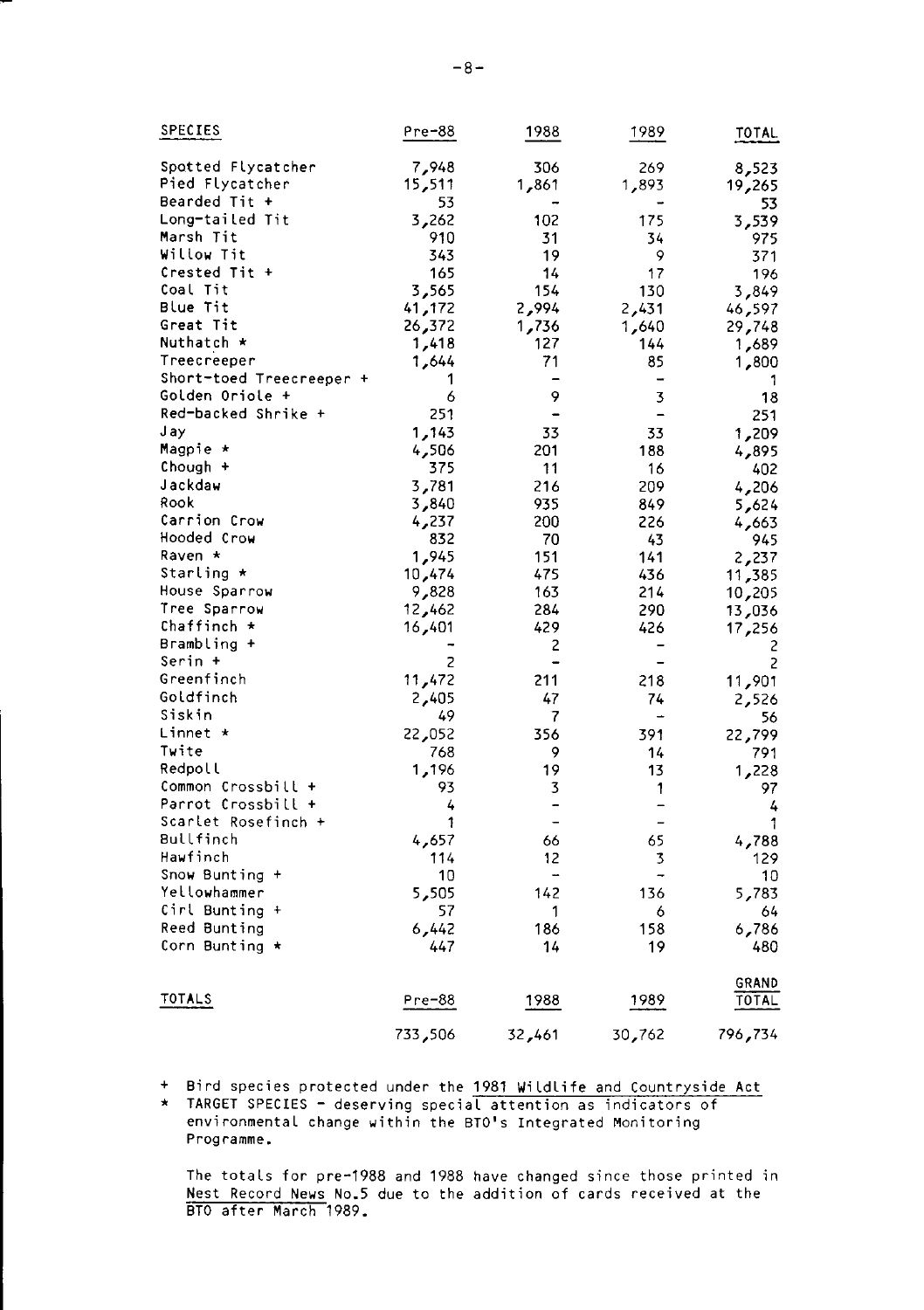| SPECIES                  | $Pre-88$ | 1988                         | 1989                     | <b>TOTAL</b> |
|--------------------------|----------|------------------------------|--------------------------|--------------|
| Spotted Flycatcher       | 7,948    | 306                          | 269                      | 8,523        |
| Pied Flycatcher          | 15,511   | 861ء 1                       | 1,893                    | 19,265       |
| Bearded Tit +            | 53       |                              |                          | 53           |
| Long-tailed Tit          | 3,262    | 102                          | 175                      | 3,539        |
| Marsh Tit                | 910      | 31                           | 34                       | 975          |
| Willow Tit               | 343      | 19                           | 9                        | 371          |
| Crested Tit +            | 165      | 14                           | 17                       | 196          |
| Coal Tit                 | 3,565    | 154                          | 130                      | 3,849        |
| <b>Blue Tit</b>          | 41,172   | 2,994                        | 2,431                    | 46,597       |
| Great Tit                | 26,372   | 1,736                        | 1,640                    | 29,748       |
| Nuthatch *               | 1,418    | 127                          | 144                      | 1,689        |
| Treecreeper              | 1,644    | 71                           | 85                       | 1,800        |
| Short-toed Treecreeper + | 1        |                              | $\overline{a}$           | 1            |
| Golden Oriole +          | 6        | 9                            | 3                        | 18           |
| Red-backed Shrike +      | 251      | -                            | $\overline{\phantom{0}}$ | 251          |
| J ay                     | 1,143    | 33                           | 33                       | 1,209        |
| Magpie ∗                 | 4,506    | 201                          | 188                      | 4,895        |
| Chough +                 | 375      | 11                           | 16                       | 402          |
| Jackdaw                  | 3,781    | 216                          | 209                      | 4,206        |
| Rook                     | 3,840    | 935                          | 849                      | 5,624        |
| Carrion Crow             | 4,237    | 200                          | 226                      | 4,663        |
| Hooded Crow              | 832      | 70                           | 43                       | 945          |
| Raven ∗                  | 1,945    | 151                          | 141                      | 2,237        |
| Starling *               | 474, 10  | 475                          | 436                      | 11,385       |
| House Sparrow            | 9,828    | 163                          | 214                      | 10,205       |
| Tree Sparrow             | 12,462   | 284                          | 290                      | 13,036       |
| Chaffinch *              | 16,401   | 429                          | 426                      | 17,256       |
| Brambling +              |          | 2                            | -                        | 2            |
| Serin +                  | 2        | $\blacksquare$               |                          | 2            |
| Greenfinch               | 11,472   | 211                          | 218                      | 11,901       |
| Goldfinch                | 2,405    | 47                           | 74                       | 2,526        |
| Siskin                   | 49       | 7                            | -                        | 56           |
| Linnet ∗                 | 22,052   | 356                          | 391                      | 22,799       |
| Twite                    | 768      | 9                            | 14                       | 791          |
| Redpoll                  | 1,196    | 19                           | 13                       | 1,228        |
| Common Crossbill +       | 93       | 3                            | 1                        | 97           |
| Parrot Crossbill +       | 4        | -                            | -                        | 4            |
| Scarlet Rosefinch +      | 1        | $\qquad \qquad \blacksquare$ | -                        | 1            |
| Bullfinch                | 4,657    | 66                           | 65                       | 4,788        |
| Hawfinch                 | 114      | 12                           | 3                        | 129          |
| Snow Bunting +           | 10       | -                            | -                        | 10           |
| Yellowhammer             | 5,505    | 142                          | 136                      | 5,783        |
| Cirl Bunting +           | 57       | 1                            | 6                        | 64           |
| Reed Bunting             | 6,442    | 186                          | 158                      | 6,786        |
| Corn Bunting ★           | 447      | 14                           | 19                       | 480          |
|                          |          |                              |                          | GRAND        |
| TOTALS                   | Pre-88   | 1988                         | 1989                     | TOTAL        |
|                          | 733,506  | 32,461                       | 30,762                   | 796,734      |

- + Bird species protected under the 1981 Wildlife and Countryside Act
- \* TARGET SPECIES deserving special attention as indicators of environmental change within the BTO's Integrated Monitoring Programme.

The totals for pre-1988 and 1988 have changed since those printed in<br>Nest Record News No.5 due to the addition of cards received at the<br>BTO after March 1989.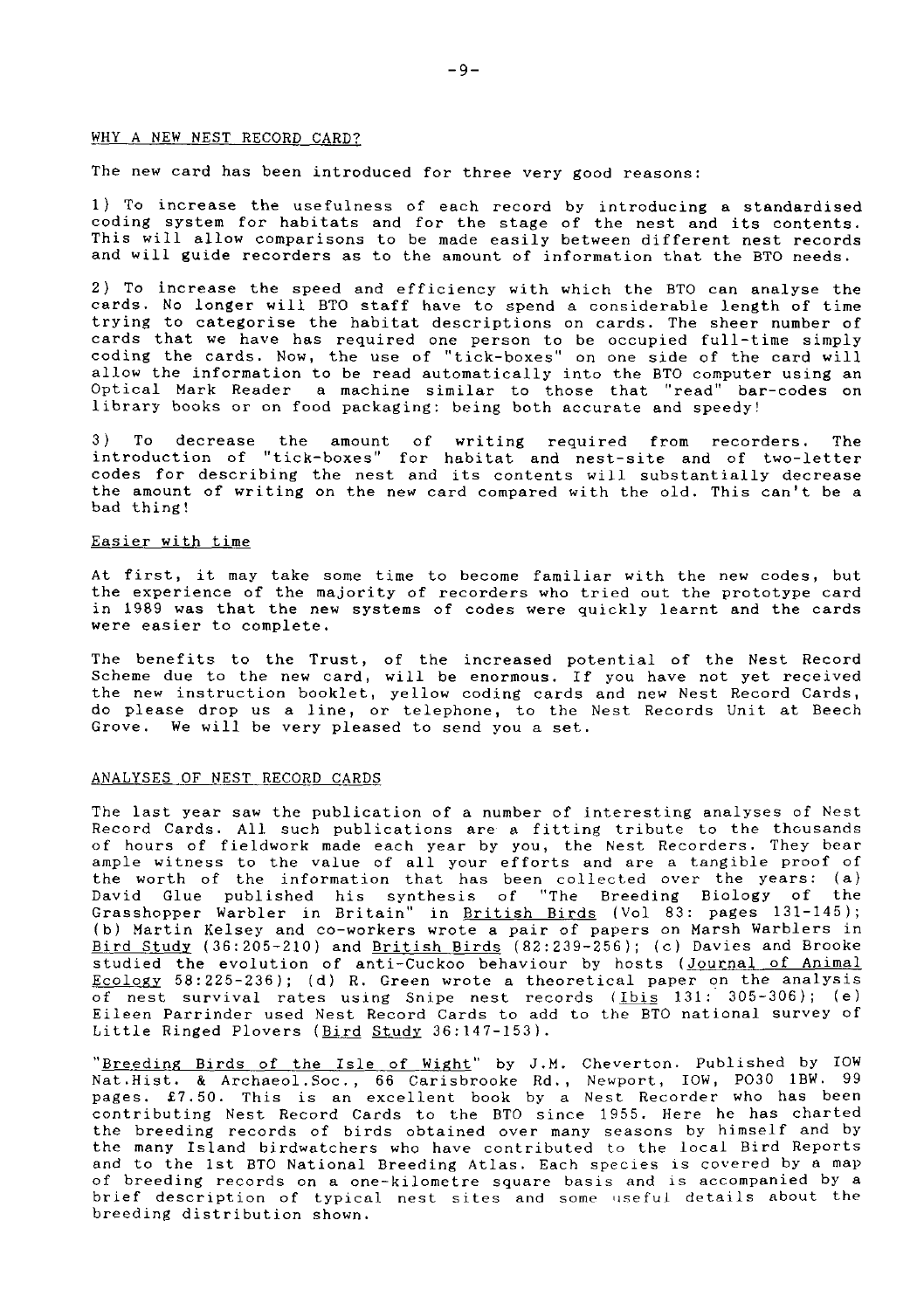## WHY A NEW NEST RECORD CARD?

# The new card has been introduced for three very good reasons:

1) To increase the usefulness of each record by introducing a standardis<br>coding system for habitats and for the stage of the nest and its content This will allow comparisons to be made easily between different nest records and will guide recorders as to the amount of information that the BTO needs.

2) To increase the speed and efficiency with which the BTO can analyse the cards. No longer will BTO staff have to spend a considerable length of time trying to categorise the habitat descriptions on cards. The sheer number of cards that we have has required one person to be occupied full-time simpl<br>coding the cards, Now, the use of "tick-boxes" on one side of the card wil allow the information to be read automatically into the BTO computer using an Optical Mark Reader a machine similar to those that "read" bar-codes on Iibrary books or on food packaging: being bolh accurate and speedy!

3 ) To decrease the anount of writing required fron recorders. The introduction of "tick-boxes" for habitat and nest-site and of Lwo-Ietter codes for describing the nest and its contents will substantially decrease the amount of writing on the new card compared with the old. This can't be a bad thing!

#### Easier with tine

At first, it nay take sone time to become faniliar with the new codes, but the experience of the najority of recorders who tried out the prototype card in 1989 was that the new systens of codes were qulckly learnt and the cards were easier to complete.

The benefits to the Trust, of the increased potential of the Nest Record Scheme due to the new card, will be enormous. If you have not yet received the new instruction booklet, yellow coding cards and new Nest Record Cards, do please drop us a line, or telephone, to the Nest Records Unit at Beech Grove, We will be very pleased to send you a set,

#### ANALYSES OF NEST RECORD CARDS

The last year saw the publication of a number of interesting analyses of Nest Record Cards. All such publications are a fitting tribute to the thousands of hours of fieldwork nade each year by you, Lhe Nest Recorders, They bear ample witness to the value of all your efforts and are a tangible proof of the worth of the information that has been collected over the years: (a) David Glue published his synthesis of "The Breeding Biology of the Grasshopper Warbler in Britain" in British Birds (Vol 83: pages 131-145); (b) Martin Kelsey and co-workers wrote a pair of papers on Marsh Warblers in Bird Study (36:205-210) and British Birds  $(82:239-256)$ ; (c) Davies and Brooke studied the evolution of anti-Cuckoo behaviour by hosts (Journal of Animal Ecology 58:225-236); (d) R. Green wrote a theoretical paper on the analysis of nest survival rates using Snipe nest records (Ibis 131: 305-306); (e) Eileen Parrinder used Nest Record Cards to add to the BTO national survey of Little Ringed Plovers (Bird Study 36:147-153).

"Breeding Birds of the Isle of Wight" by J.M. Cheverton. Published by IOW Nat.Hist. & Archaeol.Soc., 66 Carisbrooke Rd., Newport, IOW, PO30 1BW. 99 pages. £7.50. This is an excellent book by a Nest Recorder who has been contributing Nest Record Cards to the BTO since 1955. Here he has charted the breeding records of birds obtained over many seasons by himself and by the many Island birdwatchers who have contributed to the local Bird Reports and to the 1st BTO National Breeding Atlas. Each species is covered by a map of breeding records on a one-kilometre square basis and is acconpanied by a brief description of typical nest sites and some useful details about the breeding distribution shown.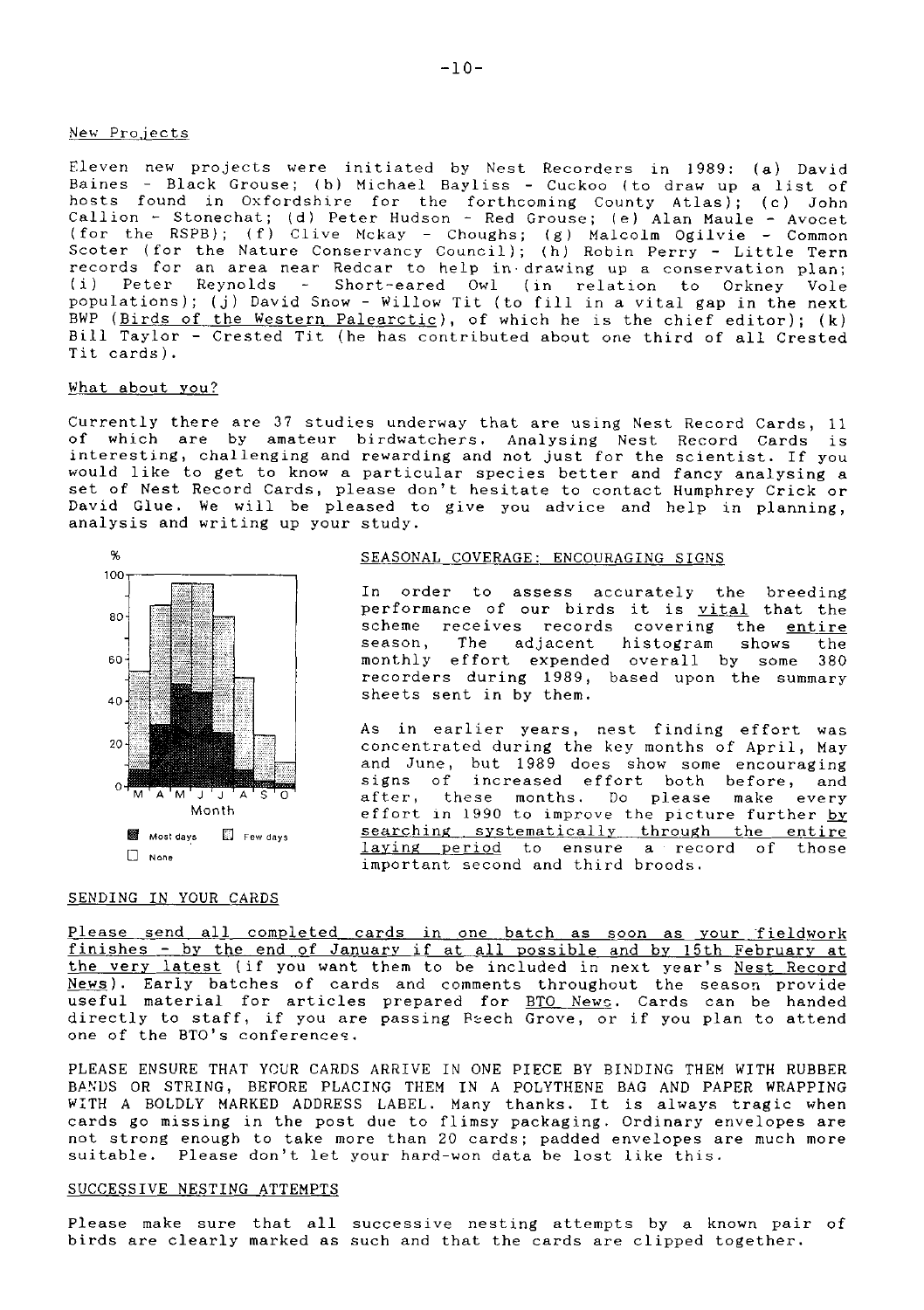#### New Pro.iects

Eleven new projects were initiated by Nest Recorders in 1989: (a) David<br>Baines – Black Grouse; (b) Michael Bayliss – Cuckoo (to draw up a list o hosts found in Oxfordshire for the forthcoming County Atlas); (c) John<br>Callion - Stonechat; (d) Peter Hudson - Red Grouse; (e) Alan Maule - Avocet<br>(for the RSPB); (f) Clive Mckay - Choughs; (g) Malcolm Ogilvie - Common<br>Sco records for an area near Redcar to help in drawing up a conservation plan;<br>(i) Peter, Reynolds - Short-eared Owl, (in relation to Orkney Vole Peter Reynolds - Short-eared Owl (in relation to Orkney Vole populations); (j) David Snow - Willow Tit (to fill in a vital gap in the next BWP (Birds of the Western Palearctic), of which he is the chief editor); (k) BilI Taylor - Crested Tit (he has contributed about one third of aII Crested Tit cards ) .

#### What about vou?

Currently there are 37 studies underway that are using Nest Record Cards, 11 of which are by amateur birdwatchers. Analysing Nest Record Cards is interesting, challenging and rewarding and not just for the scientist. If you would Iike to get to know a particular species better and fancy analysing a set of Nest Record Cards, please don't hesitate to contact Humphrey Crick or David Glue. We will be pleased to give you advice and help in planning, analysis and writing up your study.



#### SENDING IN YOUR CARDS

# SEASONAL COVERAGE: ENCOURAGING SIGNS

In order to assess accurately the breeding performance of our birds it is vital that the scheme receives records covering the entire season, The adjacent histogran shows the monthly effort expended overall by some 380 recorders during 1989, based upon the sunmary sheets sent in by them.

As in earlier years, nest finding effort was concentrated during the key months of April, May and June, but 1989 does show sone encouraging signs of increased effort both before, and after, these nonths. Do please make every effort in 1990 to improve the picture further by searching systematically through the entire laying period to ensure a record of those important second and third broods.

Please send all completed cards in one batch as soon as your fieldwork<br>finishes - by the end of January if at all possible and by 15th February at the very latest (if you want them to be included in next year's Nest Record News). Early batches of cards and comments throughout the season provide useful material for articles prepared for BTO News. Cards can be handed directly to staff, if you are passing Peech Grove, or if you plan to attend one of the BTO's conferenceg.

PLEASE ENSURE THAT YOUR CARDS ARRIVE IN ONE PIECE BY BINDING THEM WITH RUBBER BANDS OR STRING, BEFORE PLACING THEM IN A POLYTHENE BAG AND PAPER WRAPPING WITH A BOLDLY MARKED ADDRESS LABEL. Many thanks. It is always tragic when cards go missing in the post due to flimsy packaging, Ordinary envelopes are not strong enough to take more than 20 cards; padded envelopes are much more suitable. Please don't let your hard-won data be lost like this.

## SUCCESSIVE NESTING ATTEMPTS

Please make sure that all successive nesting attempts by a known pair of birds are clearly marked as such and that the cards are clipped together.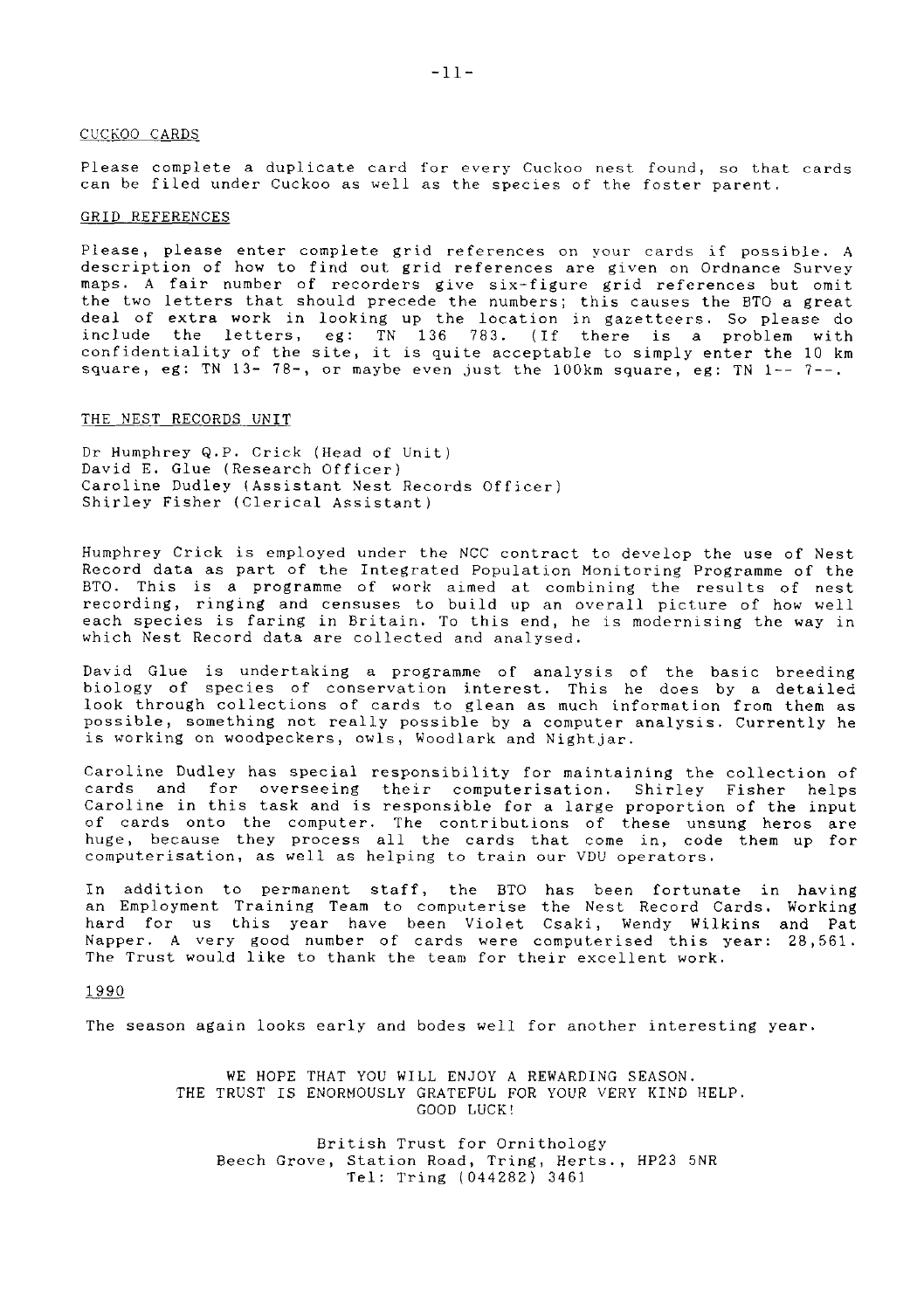#### CUCKOO CARDS

Please complete a duplicate card for every Cuckoo nest found, so that cards can be filed under Cuckoo as well as the species of the foster parent.

#### GRID REFERENCES

Please, please enter complete grid references on your cards if possible. A description of how to find out grid references are given on Ordnance Survey maps. A fair number of recorders give six-figure grid references but omit the two letters that should precede the numbers; this causes the BTO a great deal of extra work in looking up the location in gazetteers. So please do include the letters, eg: TN 136 783. (If there is a problem with confidentiality of the site, it is quite acceptable to simply enter the  $10 \text{ km}$ square, eg: TN 13- 78-, or maybe even just the 100km square, eg: TN 1-- 7--.

#### THE NEST RECORDS UNIT

Dr Hunphrey Q.P. Crick (Head of Unit) David E. Glue (Research Officer) Caroline Dudley (Assistant Nest Records Officer) Shirley Fisher (ClericaI Assistant)

Humphrey Crick is employed under the NCC contract to develop the use of Nest Record data as part of the Integrated Population Monitoring Programne of the BTO. This is a programme of work aimed at combining the results of nest<br>recording, ringing and censuses to build up an overall picture of how well<br>each species is faring in Britain. To this end, he is modernising the way i which Nest Record data are collected and analysed.

David Glue is undertaking a programme of analysis of the basic breedin<br>biology of species of conservation interest. This he does by a detaile look through collections of cards to glean as much information from them as possible, something not really possible by a computer analysis. Currently he is working on woodpeckers, owIs, Woodlark and Nightjar.

Caroline Dudley has special responsibility for maintaining the collection of cards and for overseeing their computerisation. Shirley Fisher helps Caroline in this task and is responsible for a Iarge proportion of the input of cards onto the computer. The contributions of these unsung heros are<br>huge, because they process all the cards that come in, code them up foı computerisation, as well as helping to train our VDU operators.

In addition to permanent staff, the BTO has been fortunate in having an Employment Training Team to computerise the Nest Record Cards. Working hard for us this year have been Violet Csaki, Wendy Wilkins and Pat Napper. A very good number of cards were computerised this year:28,561, The Trust would like to thank the team for their excellent work.

1990

The season again looks early and bodes well for another interesting year.

WE HOPE THAT YOU WILL ENJOY A REWARDING SEASON. THE TRUST IS ENORMOUSLY GRATEFUL FOR YOUR VERY KIND HELP. GOOD LUCKI

British Trust for OrnithoLogy Beech Grove, Station Road, Tring, Herts., HP23 5NR TeI: Tring (044282\ 3461